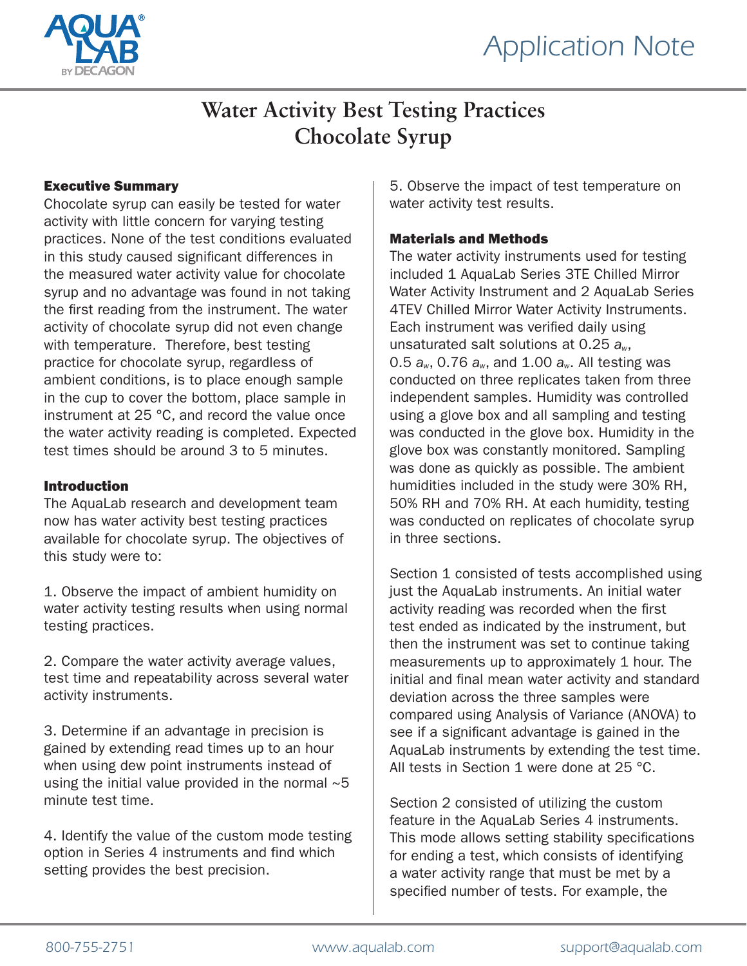

### **Water Activity Best Testing Practices Chocolate Syrup**

#### Executive Summary

Chocolate syrup can easily be tested for water activity with little concern for varying testing practices. None of the test conditions evaluated in this study caused significant differences in the measured water activity value for chocolate syrup and no advantage was found in not taking the first reading from the instrument. The water activity of chocolate syrup did not even change with temperature. Therefore, best testing practice for chocolate syrup, regardless of ambient conditions, is to place enough sample in the cup to cover the bottom, place sample in instrument at 25 °C, and record the value once the water activity reading is completed. Expected test times should be around 3 to 5 minutes.

#### Introduction

The AquaLab research and development team now has water activity best testing practices available for chocolate syrup. The objectives of this study were to:

1. Observe the impact of ambient humidity on water activity testing results when using normal testing practices.

2. Compare the water activity average values, test time and repeatability across several water activity instruments.

3. Determine if an advantage in precision is gained by extending read times up to an hour when using dew point instruments instead of using the initial value provided in the normal  $~5$ minute test time.

4. Identify the value of the custom mode testing option in Series 4 instruments and find which setting provides the best precision.

5. Observe the impact of test temperature on water activity test results.

#### Materials and Methods

The water activity instruments used for testing included 1 AquaLab Series 3TE Chilled Mirror Water Activity Instrument and 2 AquaLab Series 4TEV Chilled Mirror Water Activity Instruments. Each instrument was verified daily using unsaturated salt solutions at 0.25 *aw*, 0.5 *aw*, 0.76 *aw*, and 1.00 *aw*. All testing was conducted on three replicates taken from three independent samples. Humidity was controlled using a glove box and all sampling and testing was conducted in the glove box. Humidity in the glove box was constantly monitored. Sampling was done as quickly as possible. The ambient humidities included in the study were 30% RH, 50% RH and 70% RH. At each humidity, testing was conducted on replicates of chocolate syrup in three sections.

Section 1 consisted of tests accomplished using just the AquaLab instruments. An initial water activity reading was recorded when the first test ended as indicated by the instrument, but then the instrument was set to continue taking measurements up to approximately 1 hour. The initial and final mean water activity and standard deviation across the three samples were compared using Analysis of Variance (ANOVA) to see if a significant advantage is gained in the AquaLab instruments by extending the test time. All tests in Section 1 were done at 25 °C.

Section 2 consisted of utilizing the custom feature in the AquaLab Series 4 instruments. This mode allows setting stability specifications for ending a test, which consists of identifying a water activity range that must be met by a specified number of tests. For example, the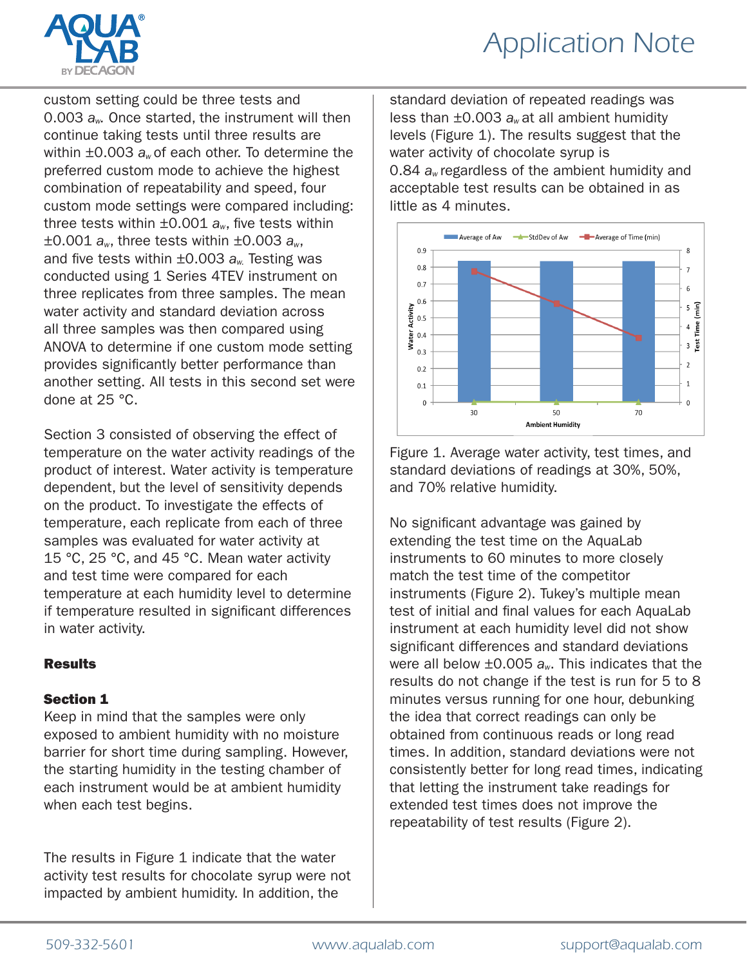

## *Application Note*

custom setting could be three tests and 0.003 *aw.* Once started, the instrument will then continue taking tests until three results are within ±0.003 *aw* of each other. To determine the preferred custom mode to achieve the highest combination of repeatability and speed, four custom mode settings were compared including: three tests within ±0.001 *aw*, five tests within ±0.001 *aw*, three tests within ±0.003 *aw*, and five tests within ±0.003 *aw.* Testing was conducted using 1 Series 4TEV instrument on three replicates from three samples. The mean water activity and standard deviation across all three samples was then compared using ANOVA to determine if one custom mode setting provides significantly better performance than another setting. All tests in this second set were done at 25 °C.

Section 3 consisted of observing the effect of temperature on the water activity readings of the product of interest. Water activity is temperature dependent, but the level of sensitivity depends on the product. To investigate the effects of temperature, each replicate from each of three samples was evaluated for water activity at 15 °C, 25 °C, and 45 °C. Mean water activity and test time were compared for each temperature at each humidity level to determine if temperature resulted in significant differences in water activity.

#### **Results**

#### Section 1

Keep in mind that the samples were only exposed to ambient humidity with no moisture barrier for short time during sampling. However, the starting humidity in the testing chamber of each instrument would be at ambient humidity when each test begins.

The results in Figure 1 indicate that the water activity test results for chocolate syrup were not impacted by ambient humidity. In addition, the

standard deviation of repeated readings was less than ±0.003 *aw* at all ambient humidity levels (Figure 1). The results suggest that the water activity of chocolate syrup is 0.84 *aw* regardless of the ambient humidity and acceptable test results can be obtained in as little as 4 minutes.



Figure 1. Average water activity, test times, and standard deviations of readings at 30%, 50%, and 70% relative humidity.

No significant advantage was gained by extending the test time on the AquaLab instruments to 60 minutes to more closely match the test time of the competitor instruments (Figure 2). Tukey's multiple mean test of initial and final values for each AquaLab instrument at each humidity level did not show significant differences and standard deviations were all below ±0.005 *aw*. This indicates that the results do not change if the test is run for 5 to 8 minutes versus running for one hour, debunking the idea that correct readings can only be obtained from continuous reads or long read times. In addition, standard deviations were not consistently better for long read times, indicating that letting the instrument take readings for extended test times does not improve the repeatability of test results (Figure 2).